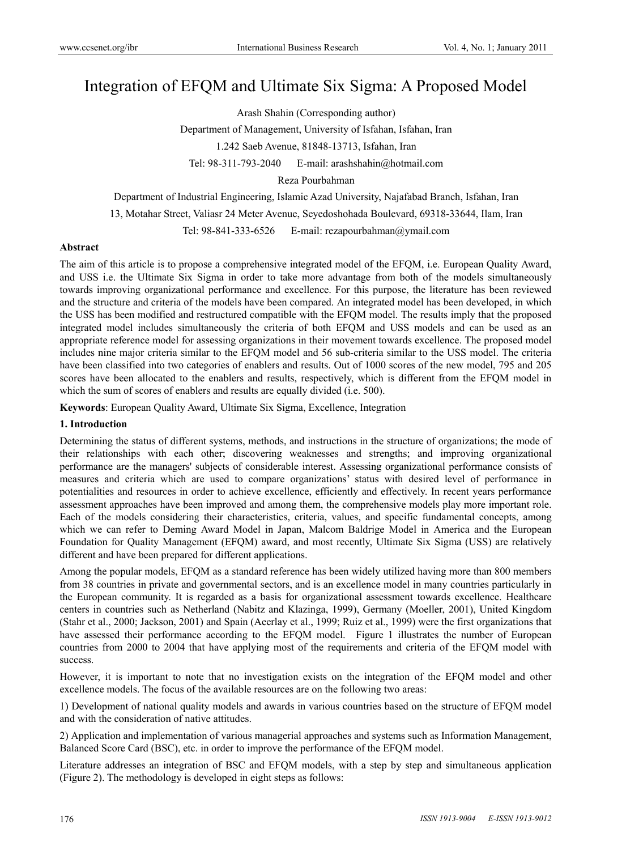# Integration of EFQM and Ultimate Six Sigma: A Proposed Model

Arash Shahin (Corresponding author) Department of Management, University of Isfahan, Isfahan, Iran 1.242 Saeb Avenue, 81848-13713, Isfahan, Iran Tel: 98-311-793-2040 E-mail: arashshahin@hotmail.com Reza Pourbahman Department of Industrial Engineering, Islamic Azad University, Najafabad Branch, Isfahan, Iran

13, Motahar Street, Valiasr 24 Meter Avenue, Seyedoshohada Boulevard, 69318-33644, Ilam, Iran

Tel: 98-841-333-6526 E-mail: rezapourbahman@ymail.com

#### **Abstract**

The aim of this article is to propose a comprehensive integrated model of the EFQM, i.e. European Quality Award, and USS i.e. the Ultimate Six Sigma in order to take more advantage from both of the models simultaneously towards improving organizational performance and excellence. For this purpose, the literature has been reviewed and the structure and criteria of the models have been compared. An integrated model has been developed, in which the USS has been modified and restructured compatible with the EFQM model. The results imply that the proposed integrated model includes simultaneously the criteria of both EFQM and USS models and can be used as an appropriate reference model for assessing organizations in their movement towards excellence. The proposed model includes nine major criteria similar to the EFQM model and 56 sub-criteria similar to the USS model. The criteria have been classified into two categories of enablers and results. Out of 1000 scores of the new model, 795 and 205 scores have been allocated to the enablers and results, respectively, which is different from the EFQM model in which the sum of scores of enablers and results are equally divided (i.e. 500).

**Keywords**: European Quality Award, Ultimate Six Sigma, Excellence, Integration

#### **1. Introduction**

Determining the status of different systems, methods, and instructions in the structure of organizations; the mode of their relationships with each other; discovering weaknesses and strengths; and improving organizational performance are the managers' subjects of considerable interest. Assessing organizational performance consists of measures and criteria which are used to compare organizations' status with desired level of performance in potentialities and resources in order to achieve excellence, efficiently and effectively. In recent years performance assessment approaches have been improved and among them, the comprehensive models play more important role. Each of the models considering their characteristics, criteria, values, and specific fundamental concepts, among which we can refer to Deming Award Model in Japan, Malcom Baldrige Model in America and the European Foundation for Quality Management (EFQM) award, and most recently, Ultimate Six Sigma (USS) are relatively different and have been prepared for different applications.

Among the popular models, EFQM as a standard reference has been widely utilized having more than 800 members from 38 countries in private and governmental sectors, and is an excellence model in many countries particularly in the European community. It is regarded as a basis for organizational assessment towards excellence. Healthcare centers in countries such as Netherland (Nabitz and Klazinga, 1999), Germany (Moeller, 2001), United Kingdom (Stahr et al., 2000; Jackson, 2001) and Spain (Aeerlay et al., 1999; Ruiz et al., 1999) were the first organizations that have assessed their performance according to the EFQM model. Figure 1 illustrates the number of European countries from 2000 to 2004 that have applying most of the requirements and criteria of the EFQM model with success.

However, it is important to note that no investigation exists on the integration of the EFQM model and other excellence models. The focus of the available resources are on the following two areas:

1) Development of national quality models and awards in various countries based on the structure of EFQM model and with the consideration of native attitudes.

2) Application and implementation of various managerial approaches and systems such as Information Management, Balanced Score Card (BSC), etc. in order to improve the performance of the EFQM model.

Literature addresses an integration of BSC and EFQM models, with a step by step and simultaneous application (Figure 2). The methodology is developed in eight steps as follows: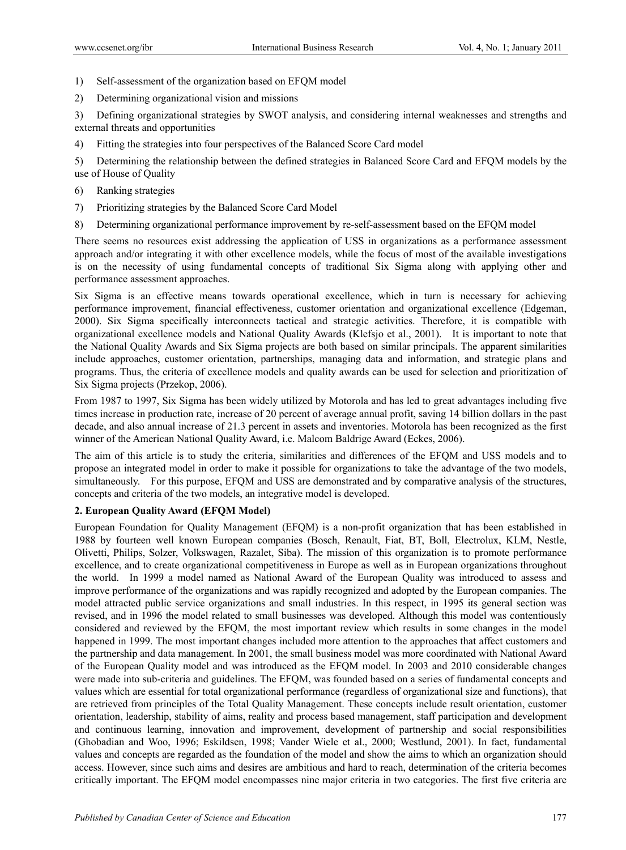- 1) Self-assessment of the organization based on EFQM model
- 2) Determining organizational vision and missions

3) Defining organizational strategies by SWOT analysis, and considering internal weaknesses and strengths and external threats and opportunities

4) Fitting the strategies into four perspectives of the Balanced Score Card model

5) Determining the relationship between the defined strategies in Balanced Score Card and EFQM models by the use of House of Quality

- 6) Ranking strategies
- 7) Prioritizing strategies by the Balanced Score Card Model
- 8) Determining organizational performance improvement by re-self-assessment based on the EFQM model

There seems no resources exist addressing the application of USS in organizations as a performance assessment approach and/or integrating it with other excellence models, while the focus of most of the available investigations is on the necessity of using fundamental concepts of traditional Six Sigma along with applying other and performance assessment approaches.

Six Sigma is an effective means towards operational excellence, which in turn is necessary for achieving performance improvement, financial effectiveness, customer orientation and organizational excellence (Edgeman, 2000). Six Sigma specifically interconnects tactical and strategic activities. Therefore, it is compatible with organizational excellence models and National Quality Awards (Klefsjo et al., 2001). It is important to note that the National Quality Awards and Six Sigma projects are both based on similar principals. The apparent similarities include approaches, customer orientation, partnerships, managing data and information, and strategic plans and programs. Thus, the criteria of excellence models and quality awards can be used for selection and prioritization of Six Sigma projects (Przekop, 2006).

From 1987 to 1997, Six Sigma has been widely utilized by Motorola and has led to great advantages including five times increase in production rate, increase of 20 percent of average annual profit, saving 14 billion dollars in the past decade, and also annual increase of 21.3 percent in assets and inventories. Motorola has been recognized as the first winner of the American National Quality Award, i.e. Malcom Baldrige Award (Eckes, 2006).

The aim of this article is to study the criteria, similarities and differences of the EFQM and USS models and to propose an integrated model in order to make it possible for organizations to take the advantage of the two models, simultaneously. For this purpose, EFQM and USS are demonstrated and by comparative analysis of the structures, concepts and criteria of the two models, an integrative model is developed.

# **2. European Quality Award (EFQM Model)**

European Foundation for Quality Management (EFQM) is a non-profit organization that has been established in 1988 by fourteen well known European companies (Bosch, Renault, Fiat, BT, Boll, Electrolux, KLM, Nestle, Olivetti, Philips, Solzer, Volkswagen, Razalet, Siba). The mission of this organization is to promote performance excellence, and to create organizational competitiveness in Europe as well as in European organizations throughout the world. In 1999 a model named as National Award of the European Quality was introduced to assess and improve performance of the organizations and was rapidly recognized and adopted by the European companies. The model attracted public service organizations and small industries. In this respect, in 1995 its general section was revised, and in 1996 the model related to small businesses was developed. Although this model was contentiously considered and reviewed by the EFQM, the most important review which results in some changes in the model happened in 1999. The most important changes included more attention to the approaches that affect customers and the partnership and data management. In 2001, the small business model was more coordinated with National Award of the European Quality model and was introduced as the EFQM model. In 2003 and 2010 considerable changes were made into sub-criteria and guidelines. The EFQM, was founded based on a series of fundamental concepts and values which are essential for total organizational performance (regardless of organizational size and functions), that are retrieved from principles of the Total Quality Management. These concepts include result orientation, customer orientation, leadership, stability of aims, reality and process based management, staff participation and development and continuous learning, innovation and improvement, development of partnership and social responsibilities (Ghobadian and Woo, 1996; Eskildsen, 1998; Vander Wiele et al., 2000; Westlund, 2001). In fact, fundamental values and concepts are regarded as the foundation of the model and show the aims to which an organization should access. However, since such aims and desires are ambitious and hard to reach, determination of the criteria becomes critically important. The EFQM model encompasses nine major criteria in two categories. The first five criteria are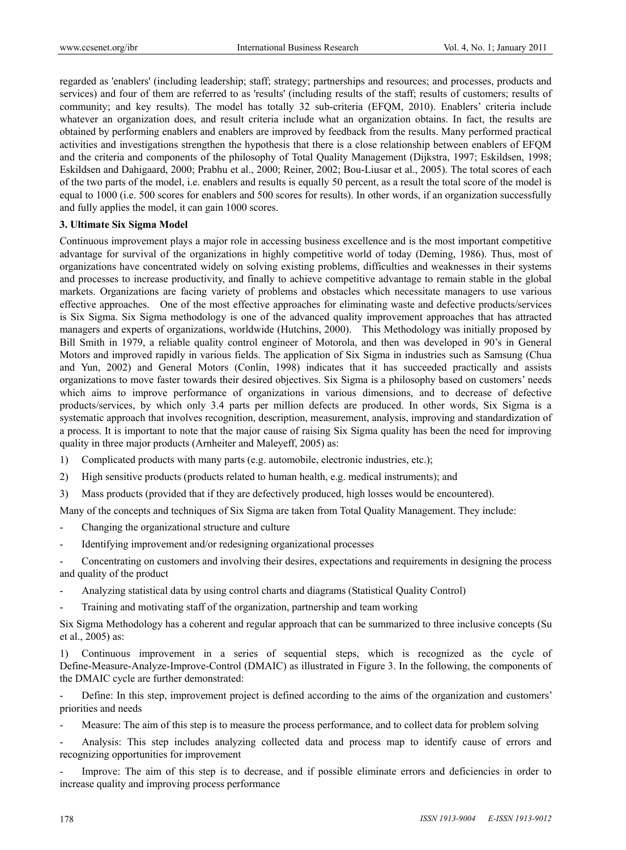regarded as 'enablers' (including leadership; staff; strategy; partnerships and resources; and processes, products and services) and four of them are referred to as 'results' (including results of the staff; results of customers; results of community; and key results). The model has totally 32 sub-criteria (EFQM, 2010). Enablers' criteria include whatever an organization does, and result criteria include what an organization obtains. In fact, the results are obtained by performing enablers and enablers are improved by feedback from the results. Many performed practical activities and investigations strengthen the hypothesis that there is a close relationship between enablers of EFQM and the criteria and components of the philosophy of Total Quality Management (Dijkstra, 1997; Eskildsen, 1998; Eskildsen and Dahigaard, 2000; Prabhu et al., 2000; Reiner, 2002; Bou-Liusar et al., 2005). The total scores of each of the two parts of the model, i.e. enablers and results is equally 50 percent, as a result the total score of the model is equal to 1000 (i.e. 500 scores for enablers and 500 scores for results). In other words, if an organization successfully and fully applies the model, it can gain 1000 scores.

#### **3. Ultimate Six Sigma Model**

Continuous improvement plays a major role in accessing business excellence and is the most important competitive advantage for survival of the organizations in highly competitive world of today (Deming, 1986). Thus, most of organizations have concentrated widely on solving existing problems, difficulties and weaknesses in their systems and processes to increase productivity, and finally to achieve competitive advantage to remain stable in the global markets. Organizations are facing variety of problems and obstacles which necessitate managers to use various effective approaches. One of the most effective approaches for eliminating waste and defective products/services is Six Sigma. Six Sigma methodology is one of the advanced quality improvement approaches that has attracted managers and experts of organizations, worldwide (Hutchins, 2000). This Methodology was initially proposed by Bill Smith in 1979, a reliable quality control engineer of Motorola, and then was developed in 90's in General Motors and improved rapidly in various fields. The application of Six Sigma in industries such as Samsung (Chua and Yun, 2002) and General Motors (Conlin, 1998) indicates that it has succeeded practically and assists organizations to move faster towards their desired objectives. Six Sigma is a philosophy based on customers' needs which aims to improve performance of organizations in various dimensions, and to decrease of defective products/services, by which only 3.4 parts per million defects are produced. In other words, Six Sigma is a systematic approach that involves recognition, description, measurement, analysis, improving and standardization of a process. It is important to note that the major cause of raising Six Sigma quality has been the need for improving quality in three major products (Arnheiter and Maleyeff, 2005) as:

- 1) Complicated products with many parts (e.g. automobile, electronic industries, etc.);
- 2) High sensitive products (products related to human health, e.g. medical instruments); and
- 3) Mass products (provided that if they are defectively produced, high losses would be encountered).

Many of the concepts and techniques of Six Sigma are taken from Total Quality Management. They include:

- Changing the organizational structure and culture
- Identifying improvement and/or redesigning organizational processes
- Concentrating on customers and involving their desires, expectations and requirements in designing the process and quality of the product
- Analyzing statistical data by using control charts and diagrams (Statistical Quality Control)
- Training and motivating staff of the organization, partnership and team working

Six Sigma Methodology has a coherent and regular approach that can be summarized to three inclusive concepts (Su et al., 2005) as:

1) Continuous improvement in a series of sequential steps, which is recognized as the cycle of Define-Measure-Analyze-Improve-Control (DMAIC) as illustrated in Figure 3. In the following, the components of the DMAIC cycle are further demonstrated:

Define: In this step, improvement project is defined according to the aims of the organization and customers' priorities and needs

- Measure: The aim of this step is to measure the process performance, and to collect data for problem solving

- Analysis: This step includes analyzing collected data and process map to identify cause of errors and recognizing opportunities for improvement

Improve: The aim of this step is to decrease, and if possible eliminate errors and deficiencies in order to increase quality and improving process performance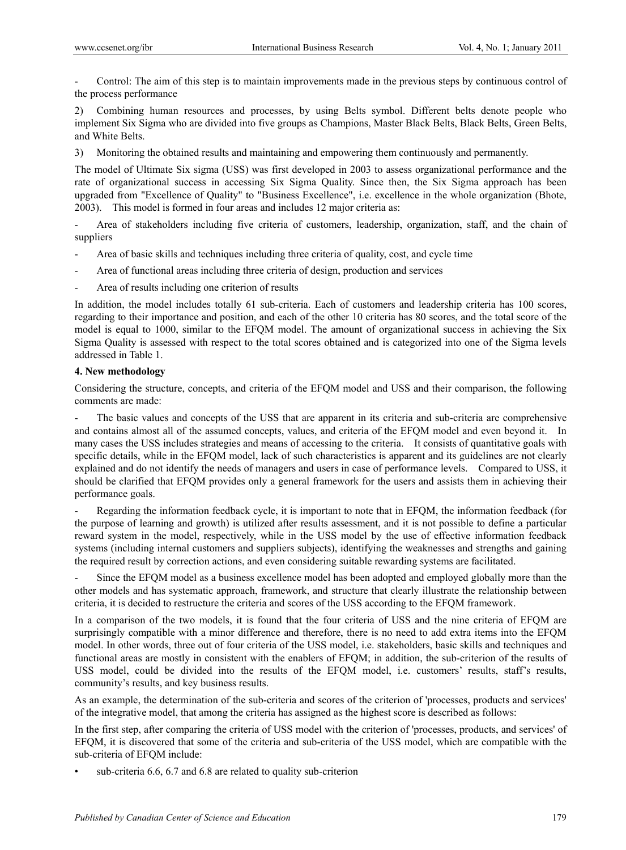- Control: The aim of this step is to maintain improvements made in the previous steps by continuous control of the process performance

2) Combining human resources and processes, by using Belts symbol. Different belts denote people who implement Six Sigma who are divided into five groups as Champions, Master Black Belts, Black Belts, Green Belts, and White Belts.

3) Monitoring the obtained results and maintaining and empowering them continuously and permanently.

The model of Ultimate Six sigma (USS) was first developed in 2003 to assess organizational performance and the rate of organizational success in accessing Six Sigma Quality. Since then, the Six Sigma approach has been upgraded from "Excellence of Quality" to "Business Excellence", i.e. excellence in the whole organization (Bhote, 2003). This model is formed in four areas and includes 12 major criteria as:

- Area of stakeholders including five criteria of customers, leadership, organization, staff, and the chain of suppliers

- Area of basic skills and techniques including three criteria of quality, cost, and cycle time
- Area of functional areas including three criteria of design, production and services
- Area of results including one criterion of results

In addition, the model includes totally 61 sub-criteria. Each of customers and leadership criteria has 100 scores, regarding to their importance and position, and each of the other 10 criteria has 80 scores, and the total score of the model is equal to 1000, similar to the EFQM model. The amount of organizational success in achieving the Six Sigma Quality is assessed with respect to the total scores obtained and is categorized into one of the Sigma levels addressed in Table 1.

# **4. New methodology**

Considering the structure, concepts, and criteria of the EFQM model and USS and their comparison, the following comments are made:

The basic values and concepts of the USS that are apparent in its criteria and sub-criteria are comprehensive and contains almost all of the assumed concepts, values, and criteria of the EFQM model and even beyond it. In many cases the USS includes strategies and means of accessing to the criteria. It consists of quantitative goals with specific details, while in the EFQM model, lack of such characteristics is apparent and its guidelines are not clearly explained and do not identify the needs of managers and users in case of performance levels. Compared to USS, it should be clarified that EFQM provides only a general framework for the users and assists them in achieving their performance goals.

Regarding the information feedback cycle, it is important to note that in EFQM, the information feedback (for the purpose of learning and growth) is utilized after results assessment, and it is not possible to define a particular reward system in the model, respectively, while in the USS model by the use of effective information feedback systems (including internal customers and suppliers subjects), identifying the weaknesses and strengths and gaining the required result by correction actions, and even considering suitable rewarding systems are facilitated.

Since the EFOM model as a business excellence model has been adopted and employed globally more than the other models and has systematic approach, framework, and structure that clearly illustrate the relationship between criteria, it is decided to restructure the criteria and scores of the USS according to the EFQM framework.

In a comparison of the two models, it is found that the four criteria of USS and the nine criteria of EFQM are surprisingly compatible with a minor difference and therefore, there is no need to add extra items into the EFQM model. In other words, three out of four criteria of the USS model, i.e. stakeholders, basic skills and techniques and functional areas are mostly in consistent with the enablers of EFQM; in addition, the sub-criterion of the results of USS model, could be divided into the results of the EFQM model, i.e. customers' results, staff's results, community's results, and key business results.

As an example, the determination of the sub-criteria and scores of the criterion of 'processes, products and services' of the integrative model, that among the criteria has assigned as the highest score is described as follows:

In the first step, after comparing the criteria of USS model with the criterion of 'processes, products, and services' of EFQM, it is discovered that some of the criteria and sub-criteria of the USS model, which are compatible with the sub-criteria of EFQM include:

sub-criteria 6.6, 6.7 and 6.8 are related to quality sub-criterion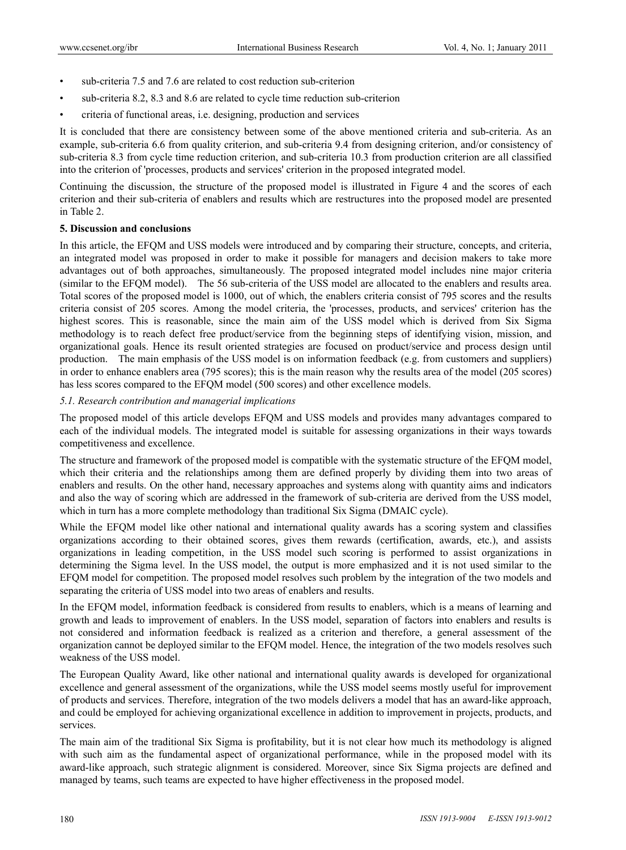- sub-criteria 7.5 and 7.6 are related to cost reduction sub-criterion
- sub-criteria 8.2, 8.3 and 8.6 are related to cycle time reduction sub-criterion
- criteria of functional areas, i.e. designing, production and services

It is concluded that there are consistency between some of the above mentioned criteria and sub-criteria. As an example, sub-criteria 6.6 from quality criterion, and sub-criteria 9.4 from designing criterion, and/or consistency of sub-criteria 8.3 from cycle time reduction criterion, and sub-criteria 10.3 from production criterion are all classified into the criterion of 'processes, products and services' criterion in the proposed integrated model.

Continuing the discussion, the structure of the proposed model is illustrated in Figure 4 and the scores of each criterion and their sub-criteria of enablers and results which are restructures into the proposed model are presented in Table 2.

#### **5. Discussion and conclusions**

In this article, the EFQM and USS models were introduced and by comparing their structure, concepts, and criteria, an integrated model was proposed in order to make it possible for managers and decision makers to take more advantages out of both approaches, simultaneously. The proposed integrated model includes nine major criteria (similar to the EFQM model). The 56 sub-criteria of the USS model are allocated to the enablers and results area. Total scores of the proposed model is 1000, out of which, the enablers criteria consist of 795 scores and the results criteria consist of 205 scores. Among the model criteria, the 'processes, products, and services' criterion has the highest scores. This is reasonable, since the main aim of the USS model which is derived from Six Sigma methodology is to reach defect free product/service from the beginning steps of identifying vision, mission, and organizational goals. Hence its result oriented strategies are focused on product/service and process design until production. The main emphasis of the USS model is on information feedback (e.g. from customers and suppliers) in order to enhance enablers area (795 scores); this is the main reason why the results area of the model (205 scores) has less scores compared to the EFQM model (500 scores) and other excellence models.

#### *5.1. Research contribution and managerial implications*

The proposed model of this article develops EFQM and USS models and provides many advantages compared to each of the individual models. The integrated model is suitable for assessing organizations in their ways towards competitiveness and excellence.

The structure and framework of the proposed model is compatible with the systematic structure of the EFQM model, which their criteria and the relationships among them are defined properly by dividing them into two areas of enablers and results. On the other hand, necessary approaches and systems along with quantity aims and indicators and also the way of scoring which are addressed in the framework of sub-criteria are derived from the USS model, which in turn has a more complete methodology than traditional Six Sigma (DMAIC cycle).

While the EFQM model like other national and international quality awards has a scoring system and classifies organizations according to their obtained scores, gives them rewards (certification, awards, etc.), and assists organizations in leading competition, in the USS model such scoring is performed to assist organizations in determining the Sigma level. In the USS model, the output is more emphasized and it is not used similar to the EFQM model for competition. The proposed model resolves such problem by the integration of the two models and separating the criteria of USS model into two areas of enablers and results.

In the EFQM model, information feedback is considered from results to enablers, which is a means of learning and growth and leads to improvement of enablers. In the USS model, separation of factors into enablers and results is not considered and information feedback is realized as a criterion and therefore, a general assessment of the organization cannot be deployed similar to the EFQM model. Hence, the integration of the two models resolves such weakness of the USS model.

The European Quality Award, like other national and international quality awards is developed for organizational excellence and general assessment of the organizations, while the USS model seems mostly useful for improvement of products and services. Therefore, integration of the two models delivers a model that has an award-like approach, and could be employed for achieving organizational excellence in addition to improvement in projects, products, and services.

The main aim of the traditional Six Sigma is profitability, but it is not clear how much its methodology is aligned with such aim as the fundamental aspect of organizational performance, while in the proposed model with its award-like approach, such strategic alignment is considered. Moreover, since Six Sigma projects are defined and managed by teams, such teams are expected to have higher effectiveness in the proposed model.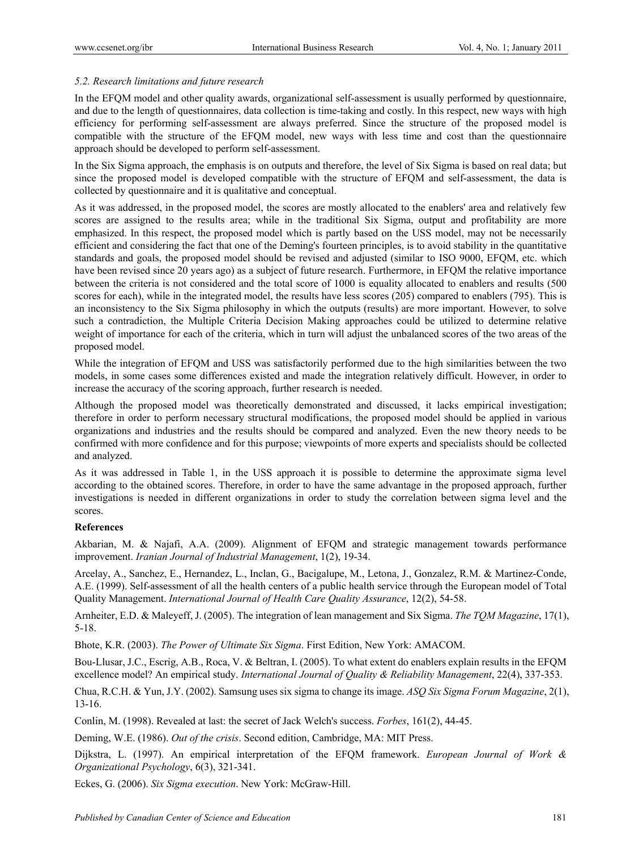### *5.2. Research limitations and future research*

In the EFQM model and other quality awards, organizational self-assessment is usually performed by questionnaire, and due to the length of questionnaires, data collection is time-taking and costly. In this respect, new ways with high efficiency for performing self-assessment are always preferred. Since the structure of the proposed model is compatible with the structure of the EFQM model, new ways with less time and cost than the questionnaire approach should be developed to perform self-assessment.

In the Six Sigma approach, the emphasis is on outputs and therefore, the level of Six Sigma is based on real data; but since the proposed model is developed compatible with the structure of EFQM and self-assessment, the data is collected by questionnaire and it is qualitative and conceptual.

As it was addressed, in the proposed model, the scores are mostly allocated to the enablers' area and relatively few scores are assigned to the results area; while in the traditional Six Sigma, output and profitability are more emphasized. In this respect, the proposed model which is partly based on the USS model, may not be necessarily efficient and considering the fact that one of the Deming's fourteen principles, is to avoid stability in the quantitative standards and goals, the proposed model should be revised and adjusted (similar to ISO 9000, EFQM, etc. which have been revised since 20 years ago) as a subject of future research. Furthermore, in EFQM the relative importance between the criteria is not considered and the total score of 1000 is equality allocated to enablers and results (500 scores for each), while in the integrated model, the results have less scores (205) compared to enablers (795). This is an inconsistency to the Six Sigma philosophy in which the outputs (results) are more important. However, to solve such a contradiction, the Multiple Criteria Decision Making approaches could be utilized to determine relative weight of importance for each of the criteria, which in turn will adjust the unbalanced scores of the two areas of the proposed model.

While the integration of EFQM and USS was satisfactorily performed due to the high similarities between the two models, in some cases some differences existed and made the integration relatively difficult. However, in order to increase the accuracy of the scoring approach, further research is needed.

Although the proposed model was theoretically demonstrated and discussed, it lacks empirical investigation; therefore in order to perform necessary structural modifications, the proposed model should be applied in various organizations and industries and the results should be compared and analyzed. Even the new theory needs to be confirmed with more confidence and for this purpose; viewpoints of more experts and specialists should be collected and analyzed.

As it was addressed in Table 1, in the USS approach it is possible to determine the approximate sigma level according to the obtained scores. Therefore, in order to have the same advantage in the proposed approach, further investigations is needed in different organizations in order to study the correlation between sigma level and the scores.

#### **References**

Akbarian, M. & Najafi, A.A. (2009). Alignment of EFQM and strategic management towards performance improvement. *Iranian Journal of Industrial Management*, 1(2), 19-34.

Arcelay, A., Sanchez, E., Hernandez, L., Inclan, G., Bacigalupe, M., Letona, J., Gonzalez, R.M. & Martinez-Conde, A.E. (1999). Self-assessment of all the health centers of a public health service through the European model of Total Quality Management. *International Journal of Health Care Quality Assurance*, 12(2), 54-58.

Arnheiter, E.D. & Maleyeff, J. (2005). The integration of lean management and Six Sigma. *The TQM Magazine*, 17(1), 5-18.

Bhote, K.R. (2003). *The Power of Ultimate Six Sigma*. First Edition, New York: AMACOM.

Bou-Llusar, J.C., Escrig, A.B., Roca, V. & Beltran, I. (2005). To what extent do enablers explain results in the EFQM excellence model? An empirical study. *International Journal of Quality & Reliability Management*, 22(4), 337-353.

Chua, R.C.H. & Yun, J.Y. (2002). Samsung uses six sigma to change its image. *ASQ Six Sigma Forum Magazine*, 2(1), 13-16.

Conlin, M. (1998). Revealed at last: the secret of Jack Welch's success. *Forbes*, 161(2), 44-45.

Deming, W.E. (1986). *Out of the crisis*. Second edition, Cambridge, MA: MIT Press.

Dijkstra, L. (1997). An empirical interpretation of the EFQM framework. *European Journal of Work & Organizational Psychology*, 6(3), 321-341.

Eckes, G. (2006). *Six Sigma execution*. New York: McGraw-Hill.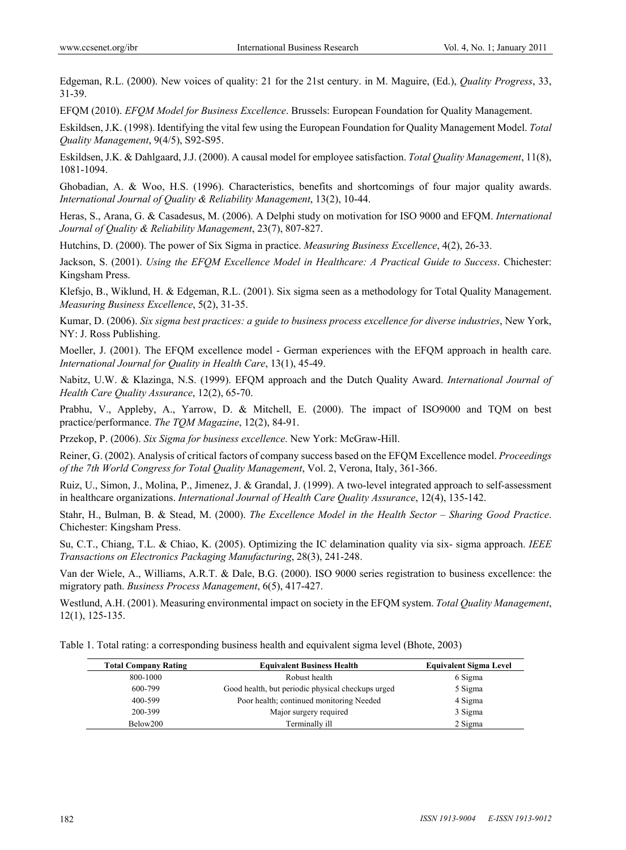Edgeman, R.L. (2000). New voices of quality: 21 for the 21st century. in M. Maguire, (Ed.), *Quality Progress*, 33, 31-39.

EFQM (2010). *EFQM Model for Business Excellence*. Brussels: European Foundation for Quality Management.

Eskildsen, J.K. (1998). Identifying the vital few using the European Foundation for Quality Management Model. *Total Quality Management*, 9(4/5), S92-S95.

Eskildsen, J.K. & Dahlgaard, J.J. (2000). A causal model for employee satisfaction. *Total Quality Management*, 11(8), 1081-1094.

Ghobadian, A. & Woo, H.S. (1996). Characteristics, benefits and shortcomings of four major quality awards. *International Journal of Quality & Reliability Management*, 13(2), 10-44.

Heras, S., Arana, G. & Casadesus, M. (2006). A Delphi study on motivation for ISO 9000 and EFQM. *International Journal of Quality & Reliability Management*, 23(7), 807-827.

Hutchins, D. (2000). The power of Six Sigma in practice. *Measuring Business Excellence*, 4(2), 26-33.

Jackson, S. (2001). *Using the EFQM Excellence Model in Healthcare: A Practical Guide to Success*. Chichester: Kingsham Press.

Klefsjo, B., Wiklund, H. & Edgeman, R.L. (2001). Six sigma seen as a methodology for Total Quality Management. *Measuring Business Excellence*, 5(2), 31-35.

Kumar, D. (2006). *Six sigma best practices: a guide to business process excellence for diverse industries*, New York, NY: J. Ross Publishing.

Moeller, J. (2001). The EFQM excellence model - German experiences with the EFQM approach in health care. *International Journal for Quality in Health Care*, 13(1), 45-49.

Nabitz, U.W. & Klazinga, N.S. (1999). EFQM approach and the Dutch Quality Award. *International Journal of Health Care Quality Assurance*, 12(2), 65-70.

Prabhu, V., Appleby, A., Yarrow, D. & Mitchell, E. (2000). The impact of ISO9000 and TQM on best practice/performance. *The TQM Magazine*, 12(2), 84-91.

Przekop, P. (2006). *Six Sigma for business excellence*. New York: McGraw-Hill.

Reiner, G. (2002). Analysis of critical factors of company success based on the EFQM Excellence model. *Proceedings of the 7th World Congress for Total Quality Management*, Vol. 2, Verona, Italy, 361-366.

Ruiz, U., Simon, J., Molina, P., Jimenez, J. & Grandal, J. (1999). A two-level integrated approach to self-assessment in healthcare organizations. *International Journal of Health Care Quality Assurance*, 12(4), 135-142.

Stahr, H., Bulman, B. & Stead, M. (2000). *The Excellence Model in the Health Sector – Sharing Good Practice*. Chichester: Kingsham Press.

Su, C.T., Chiang, T.L. & Chiao, K. (2005). Optimizing the IC delamination quality via six- sigma approach. *IEEE Transactions on Electronics Packaging Manufacturing*, 28(3), 241-248.

Van der Wiele, A., Williams, A.R.T. & Dale, B.G. (2000). ISO 9000 series registration to business excellence: the migratory path. *Business Process Management*, 6(5), 417-427.

Westlund, A.H. (2001). Measuring environmental impact on society in the EFQM system. *Total Quality Management*, 12(1), 125-135.

Table 1. Total rating: a corresponding business health and equivalent sigma level (Bhote, 2003)

| <b>Total Company Rating</b> | <b>Equivalent Business Health</b>                 | Equivalent Sigma Level |
|-----------------------------|---------------------------------------------------|------------------------|
| 800-1000                    | Robust health                                     | 6 Sigma                |
| 600-799                     | Good health, but periodic physical checkups urged | 5 Sigma                |
| 400-599                     | Poor health; continued monitoring Needed          | 4 Sigma                |
| 200-399                     | Major surgery required                            | 3 Sigma                |
| Below200                    | Terminally ill                                    | 2 Sigma                |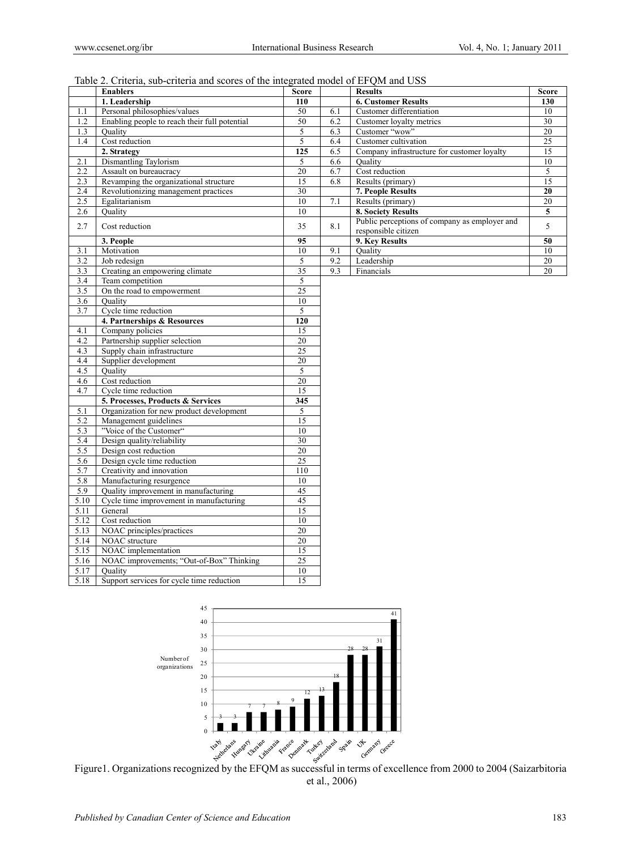# Table 2. Criteria, sub-criteria and scores of the integrated model of EFQM and USS

|                  | <b>Enablers</b>                               | <b>Score</b>    |     | <b>Results</b>                                                       | <b>Score</b>    |
|------------------|-----------------------------------------------|-----------------|-----|----------------------------------------------------------------------|-----------------|
|                  | 1. Leadership                                 | 110             |     | <b>6. Customer Results</b>                                           | 130             |
| 1.1              | Personal philosophies/values                  | 50              | 6.1 | Customer differentiation                                             | 10              |
| 1.2              | Enabling people to reach their full potential | 50              | 6.2 | Customer loyalty metrics                                             | $\overline{30}$ |
| 1.3              | Ouality                                       | 5               | 6.3 | Customer "wow"                                                       | $\overline{20}$ |
| 1.4              | Cost reduction                                | 5               | 6.4 | Customer cultivation                                                 | $\overline{25}$ |
|                  | 2. Strategy                                   | 125             | 6.5 | Company infrastructure for customer loyalty                          | 15              |
| $\overline{2.1}$ | Dismantling Taylorism                         | $\sqrt{5}$      | 6.6 | Ouality                                                              | 10              |
| 2.2              | Assault on bureaucracy                        | 20              | 6.7 | Cost reduction                                                       | 5               |
| 2.3              | Revamping the organizational structure        | 15              | 6.8 | Results (primary)                                                    | $\overline{15}$ |
| 2.4              | Revolutionizing management practices          | 30              |     | <b>7. People Results</b>                                             | 20              |
| 2.5              | Egalitarianism                                | 10              | 7.1 | Results (primary)                                                    | $20\,$          |
| 2.6              | Quality                                       | 10              |     | <b>8. Society Results</b>                                            | 5               |
| 2.7              | Cost reduction                                | 35              | 8.1 | Public perceptions of company as employer and<br>responsible citizen | 5               |
|                  | 3. People                                     | 95              |     | 9. Key Results                                                       | $\overline{50}$ |
| 3.1              | Motivation                                    | 10              | 9.1 | Quality                                                              | 10              |
| 3.2              | Job redesign                                  | $\sqrt{5}$      | 9.2 | Leadership                                                           | $20\,$          |
| 3.3              | Creating an empowering climate                | 35              | 9.3 | Financials                                                           | 20              |
| 3.4              | Team competition                              | $\sqrt{5}$      |     |                                                                      |                 |
| 3.5              | On the road to empowerment                    | 25              |     |                                                                      |                 |
| 3.6              | Ouality                                       | 10              |     |                                                                      |                 |
| 3.7              | Cycle time reduction                          | 5               |     |                                                                      |                 |
|                  | 4. Partnerships & Resources                   | 120             |     |                                                                      |                 |
| 4.1              | Company policies                              | 15              |     |                                                                      |                 |
| 4.2              | Partnership supplier selection                | 20              |     |                                                                      |                 |
| 4.3              | Supply chain infrastructure                   | $\overline{25}$ |     |                                                                      |                 |
| 4.4              | Supplier development                          | 20              |     |                                                                      |                 |
| 4.5              | Ouality                                       | 5               |     |                                                                      |                 |
| 4.6              | Cost reduction                                | 20              |     |                                                                      |                 |
| 4.7              | Cycle time reduction                          | 15              |     |                                                                      |                 |
|                  | 5. Processes, Products & Services             | 345             |     |                                                                      |                 |
| 5.1              | Organization for new product development      | 5               |     |                                                                      |                 |
| 5.2              | Management guidelines                         | 15              |     |                                                                      |                 |
| 5.3              | "Voice of the Customer"                       | 10              |     |                                                                      |                 |
| 5.4              | Design quality/reliability                    | 30              |     |                                                                      |                 |
| 5.5              | Design cost reduction                         | $\overline{20}$ |     |                                                                      |                 |
| 5.6              | Design cycle time reduction                   | 25              |     |                                                                      |                 |
| 5.7              | Creativity and innovation                     | 110             |     |                                                                      |                 |
| 5.8              | Manufacturing resurgence                      | 10              |     |                                                                      |                 |
| 5.9              | Quality improvement in manufacturing          | 45              |     |                                                                      |                 |
| 5.10             | Cycle time improvement in manufacturing       | 45              |     |                                                                      |                 |
| 5.11             | General                                       | $\overline{15}$ |     |                                                                      |                 |
| 5.12             | Cost reduction                                | 10              |     |                                                                      |                 |
| 5.13             | NOAC principles/practices                     | $\overline{20}$ |     |                                                                      |                 |
| 5.14             | NOAC structure                                | 20              |     |                                                                      |                 |
| 5.15             | NOAC implementation                           | 15              |     |                                                                      |                 |
| 5.16             | NOAC improvements; "Out-of-Box" Thinking      | $\overline{25}$ |     |                                                                      |                 |
| 5.17             | Ouality                                       | 10              |     |                                                                      |                 |
| 5.18             | Support services for cycle time reduction     | 15              |     |                                                                      |                 |



et al., 2006)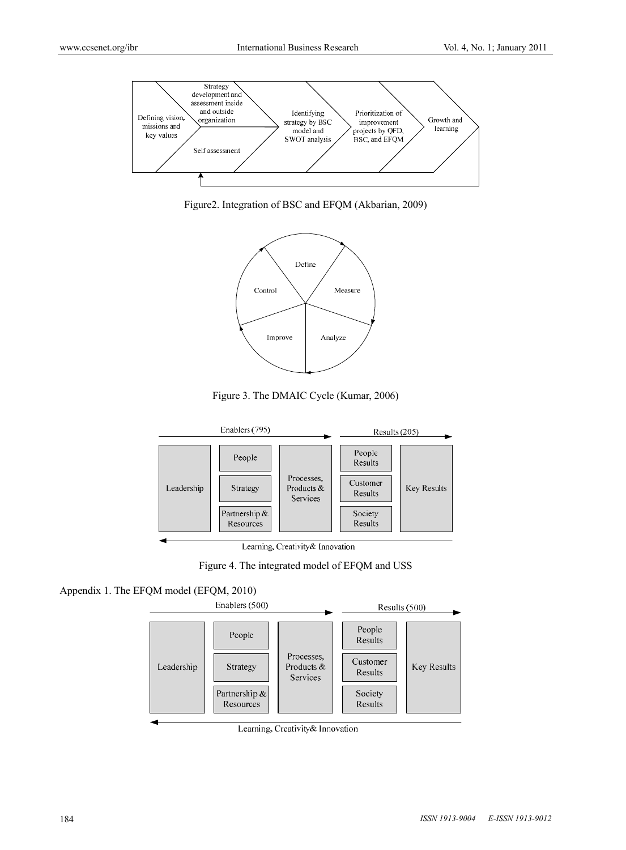





Figure 3. The DMAIC Cycle (Kumar, 2006)



Figure 4. The integrated model of EFQM and USS



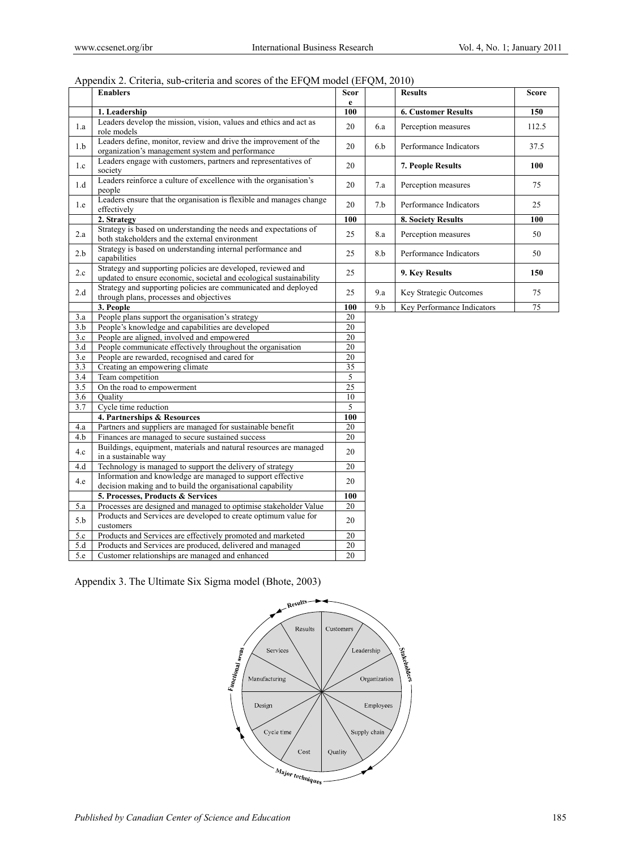|  | Appendix 2. Criteria, sub-criteria and scores of the EFQM model (EFQM, 2010) |  |  |
|--|------------------------------------------------------------------------------|--|--|
|  |                                                                              |  |  |

| <b>TT</b>        | <b>Enablers</b>                                                                                                                    | Scor<br>e       |     | <b>Results</b>             | <b>Score</b> |
|------------------|------------------------------------------------------------------------------------------------------------------------------------|-----------------|-----|----------------------------|--------------|
|                  | 1. Leadership                                                                                                                      | 100             |     | <b>6. Customer Results</b> | 150          |
| 1.a              | Leaders develop the mission, vision, values and ethics and act as<br>role models                                                   | 20              | 6.a | Perception measures        | 112.5        |
| 1.b              | Leaders define, monitor, review and drive the improvement of the<br>organization's management system and performance               | 20              | 6.b | Performance Indicators     | 37.5         |
| 1.c              | Leaders engage with customers, partners and representatives of<br>society                                                          | 20              |     | 7. People Results          | 100          |
| 1.d              | Leaders reinforce a culture of excellence with the organisation's<br>people                                                        | 20              | 7.a | Perception measures        | 75           |
| 1.e              | Leaders ensure that the organisation is flexible and manages change<br>effectively                                                 | 20              | 7.b | Performance Indicators     | 25           |
|                  | 2. Strategy                                                                                                                        | 100             |     | <b>8. Society Results</b>  | 100          |
| 2.a              | Strategy is based on understanding the needs and expectations of<br>both stakeholders and the external environment                 | 25              | 8.a | Perception measures        | 50           |
| 2.b              | Strategy is based on understanding internal performance and<br>capabilities                                                        | 25              | 8.b | Performance Indicators     | 50           |
| 2.c              | Strategy and supporting policies are developed, reviewed and<br>updated to ensure economic, societal and ecological sustainability | 25              |     | 9. Key Results             | 150          |
| 2.d              | Strategy and supporting policies are communicated and deployed<br>through plans, processes and objectives                          | 25              | 9.a | Key Strategic Outcomes     | 75           |
|                  | 3. People                                                                                                                          | 100             | 9.b | Key Performance Indicators | 75           |
| 3.a              | People plans support the organisation's strategy                                                                                   | 20              |     |                            |              |
| 3.b              | People's knowledge and capabilities are developed                                                                                  | 20              |     |                            |              |
| 3.c              | People are aligned, involved and empowered                                                                                         | 20              |     |                            |              |
| 3.d              | People communicate effectively throughout the organisation                                                                         | 20              |     |                            |              |
| 3.e              | People are rewarded, recognised and cared for                                                                                      | $\overline{20}$ |     |                            |              |
| 3.3              | Creating an empowering climate                                                                                                     | 35              |     |                            |              |
| $\overline{3.4}$ | Team competition                                                                                                                   | 5               |     |                            |              |
| 3.5              | On the road to empowerment<br>Ouality                                                                                              | 25<br>10        |     |                            |              |
| 3.6<br>3.7       | Cycle time reduction                                                                                                               | $\overline{5}$  |     |                            |              |
|                  | 4. Partnerships & Resources                                                                                                        | 100             |     |                            |              |
| 4.a              | Partners and suppliers are managed for sustainable benefit                                                                         | 20              |     |                            |              |
| 4.b              | Finances are managed to secure sustained success                                                                                   | 20              |     |                            |              |
| 4.c              | Buildings, equipment, materials and natural resources are managed<br>in a sustainable way                                          | 20              |     |                            |              |
| 4.d              | Technology is managed to support the delivery of strategy                                                                          | $\overline{20}$ |     |                            |              |
| 4.e              | Information and knowledge are managed to support effective<br>decision making and to build the organisational capability           | 20              |     |                            |              |
|                  | 5. Processes, Products & Services                                                                                                  | 100             |     |                            |              |
| 5.a              | Processes are designed and managed to optimise stakeholder Value                                                                   | $\overline{20}$ |     |                            |              |
| 5.b              | Products and Services are developed to create optimum value for<br>customers                                                       | 20              |     |                            |              |
| 5.c              | Products and Services are effectively promoted and marketed                                                                        | 20              |     |                            |              |
| 5.d              | Products and Services are produced, delivered and managed                                                                          | 20              |     |                            |              |
| 5.e              | Customer relationships are managed and enhanced                                                                                    | 20              |     |                            |              |

Appendix 3. The Ultimate Six Sigma model (Bhote, 2003)